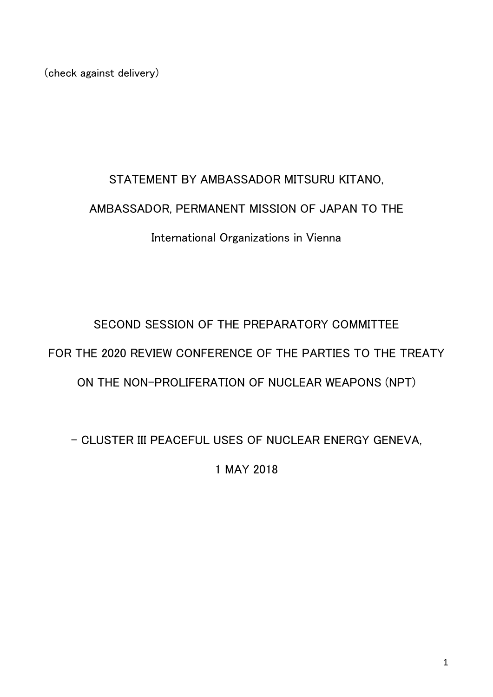(check against delivery)

# STATEMENT BY AMBASSADOR MITSURU KITANO, AMBASSADOR, PERMANENT MISSION OF JAPAN TO THE International Organizations in Vienna

## SECOND SESSION OF THE PREPARATORY COMMITTEE FOR THE 2020 REVIEW CONFERENCE OF THE PARTIES TO THE TREATY ON THE NON-PROLIFERATION OF NUCLEAR WEAPONS (NPT)

- CLUSTER III PEACEFUL USES OF NUCLEAR ENERGY GENEVA,

1 MAY 2018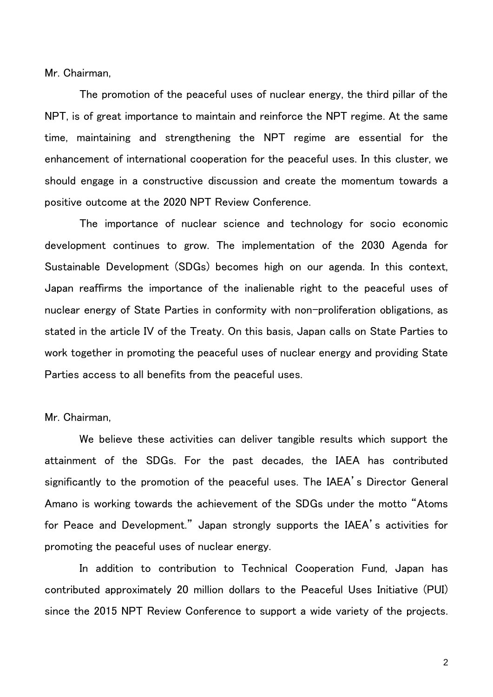Mr. Chairman,

The promotion of the peaceful uses of nuclear energy, the third pillar of the NPT, is of great importance to maintain and reinforce the NPT regime. At the same time, maintaining and strengthening the NPT regime are essential for the enhancement of international cooperation for the peaceful uses. In this cluster, we should engage in a constructive discussion and create the momentum towards a positive outcome at the 2020 NPT Review Conference.

The importance of nuclear science and technology for socio economic development continues to grow. The implementation of the 2030 Agenda for Sustainable Development (SDGs) becomes high on our agenda. In this context, Japan reaffirms the importance of the inalienable right to the peaceful uses of nuclear energy of State Parties in conformity with non-proliferation obligations, as stated in the article IV of the Treaty. On this basis, Japan calls on State Parties to work together in promoting the peaceful uses of nuclear energy and providing State Parties access to all benefits from the peaceful uses.

#### Mr. Chairman,

We believe these activities can deliver tangible results which support the attainment of the SDGs. For the past decades, the IAEA has contributed significantly to the promotion of the peaceful uses. The IAEA's Director General Amano is working towards the achievement of the SDGs under the motto "Atoms for Peace and Development." Japan strongly supports the IAEA's activities for promoting the peaceful uses of nuclear energy.

In addition to contribution to Technical Cooperation Fund, Japan has contributed approximately 20 million dollars to the Peaceful Uses Initiative (PUI) since the 2015 NPT Review Conference to support a wide variety of the projects.

2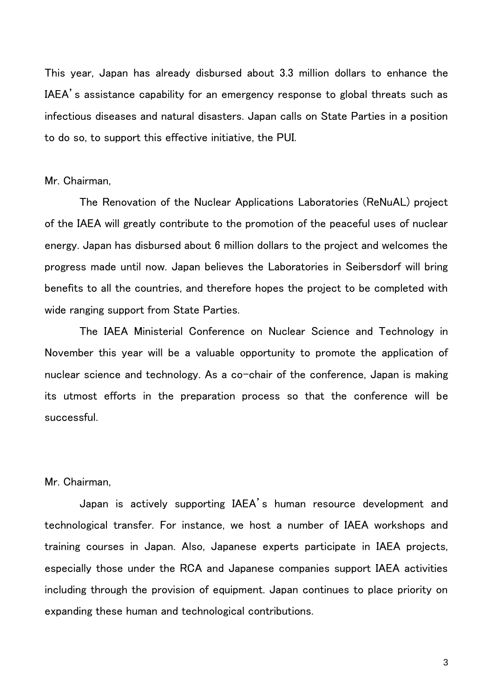This year, Japan has already disbursed about 3.3 million dollars to enhance the IAEA's assistance capability for an emergency response to global threats such as infectious diseases and natural disasters. Japan calls on State Parties in a position to do so, to support this effective initiative, the PUI.

#### Mr. Chairman,

The Renovation of the Nuclear Applications Laboratories (ReNuAL) project of the IAEA will greatly contribute to the promotion of the peaceful uses of nuclear energy. Japan has disbursed about 6 million dollars to the project and welcomes the progress made until now. Japan believes the Laboratories in Seibersdorf will bring benefits to all the countries, and therefore hopes the project to be completed with wide ranging support from State Parties.

The IAEA Ministerial Conference on Nuclear Science and Technology in November this year will be a valuable opportunity to promote the application of nuclear science and technology. As a co-chair of the conference, Japan is making its utmost efforts in the preparation process so that the conference will be successful.

#### Mr. Chairman,

Japan is actively supporting IAEA's human resource development and technological transfer. For instance, we host a number of IAEA workshops and training courses in Japan. Also, Japanese experts participate in IAEA projects, especially those under the RCA and Japanese companies support IAEA activities including through the provision of equipment. Japan continues to place priority on expanding these human and technological contributions.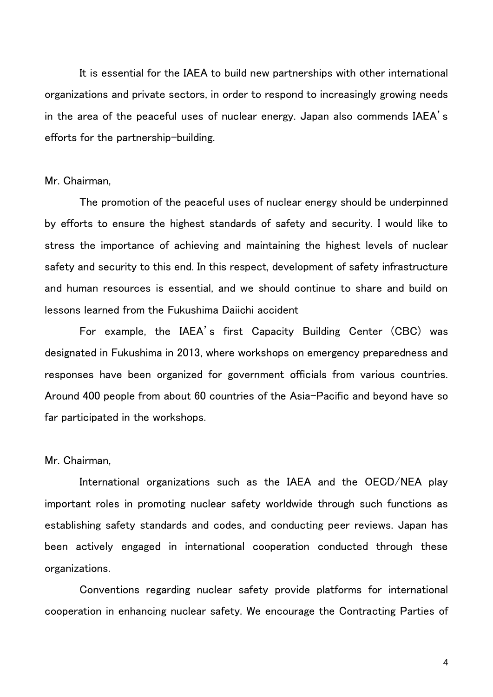It is essential for the IAEA to build new partnerships with other international organizations and private sectors, in order to respond to increasingly growing needs in the area of the peaceful uses of nuclear energy. Japan also commends IAEA's efforts for the partnership-building.

#### Mr. Chairman,

The promotion of the peaceful uses of nuclear energy should be underpinned by efforts to ensure the highest standards of safety and security. I would like to stress the importance of achieving and maintaining the highest levels of nuclear safety and security to this end. In this respect, development of safety infrastructure and human resources is essential, and we should continue to share and build on lessons learned from the Fukushima Daiichi accident

For example, the IAEA's first Capacity Building Center (CBC) was designated in Fukushima in 2013, where workshops on emergency preparedness and responses have been organized for government officials from various countries. Around 400 people from about 60 countries of the Asia-Pacific and beyond have so far participated in the workshops.

#### Mr. Chairman,

International organizations such as the IAEA and the OECD/NEA play important roles in promoting nuclear safety worldwide through such functions as establishing safety standards and codes, and conducting peer reviews. Japan has been actively engaged in international cooperation conducted through these organizations.

Conventions regarding nuclear safety provide platforms for international cooperation in enhancing nuclear safety. We encourage the Contracting Parties of